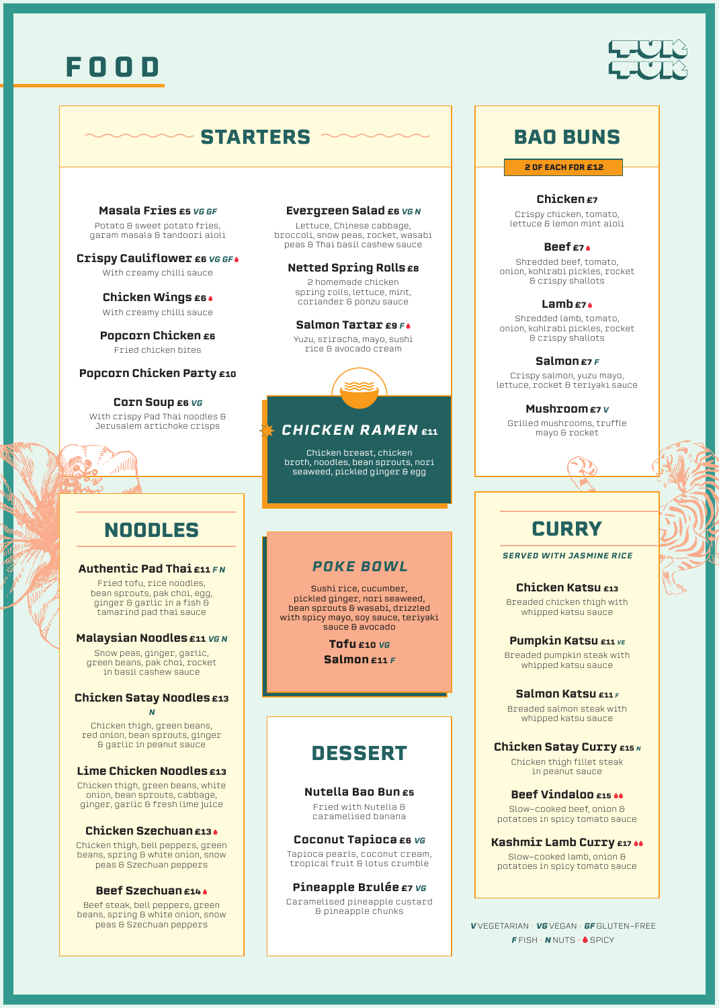

### **BAO BUNS**

**Masala Fries £5 VG GF** Potato & sweet potato fries, garam masala & tandoori aioli

**Crispy Cauliflower E6 VG GF .** With creamy chilli sauce

**Chicken Wings £6** With creamy chilli sauce

**Popcorn Chicken E6** Fried chicken bites

#### **Popcorn Chicken Party £10**

**Corn Soup E6 VG** With crispy Pad Thai noodles & Jerusalem artichoke crisps

### **NOODLES**

الاان

 $\frac{2}{\sqrt{11}}$ 

#### **Authentic Pad Thai £11 FN**

Fried tofu, rice noodles, bean sprouts, pak choi, egg, ginger & garlic in a fish & tamarind pad thai sauce

#### **Malaysian Noodles £11 VG N**

Snow peas, ginger, garlic, green beans, pak choi, rocket in basil cashew sauce

#### **Chicken Satay Noodles £13** N

Chicken thigh, green beans, red onion, bean sprouts, ginger **& garlic in peanut sauce** 

#### **Lime Chicken Noodles £13**

Chicken thigh, green beans, white onion, bean sprouts, cabbage, ginger, garlic & fresh lime juice

#### **Chicken Szechuan £13**

Chicken thigh, bell peppers, green beans, spring & white onion, snow peas & Szechuan peppers

#### **Beef Szechuan £14**

Beef steak, bell peppers, green beans, spring & white onion, snow peas & Szechuan peppers

#### Evergreen Salad E6 VG N

Lettuce, Chinese cabbage,  $b$ roccoli, snow peas, rocket, wasabi peas & Thai basil cashew sauce

### **Netted Spring Rolls E8**

2 homemade chicken spring rolls, lettuce, mint, coriander & ponzu sauce

#### Salmon Tartar £9 F.

Yuzu, sriracha, mayo, sushi rice & avocado cream

### **CHICKEN RAMEN E11**

Chicken breast, chicken broth, noodles, bean sprouts, nori seaweed, pickled ginger & egg

### **POKE BOWL**

Sushi rice, cucumber. pickled ginger, nori seaweed, bean sprouts & wasabi, drizzled with spicy mayo, soy sauce, teriyaki sauce & avocado

> **Tofu** £10  $VG$ **Salmon** £11 F

### **DESSERT**

#### **Nutella Bao Bun £5**

Fried with Nutella & caramelised banana

#### **Coconut Tapioca E6 VG**

Tapioca pearls, coconut cream, tropical fruit & lotus crumble

Pineapple Brulée £7 vG Caramelised pineapple custard

**G** pineapple chunks

#### **2 OF EACH FOR £12**

**£7** Chicken

Crispy chicken, tomato, lettuce & lemon mint aioli

#### 2 **£7** Beef

Shredded beef, tomato, onion, kohlrabi pickles, rocket & crispy shallots

#### 2 **£7** Lamb

Shredded lamb, tomato, onion, kohlrabi pickles, rocket & crispy shallots

#### Salmon £7 F

Crispy salmon, yuzu mayo, lettuce, rocket & teriyaki sauce

<sup>V</sup> **£7**Mushroom

Grilled mushrooms, truffle mayo & rocket



## **CURRY**

**SERVED WITH JASMINE RICE** 

**£13** Katsu Chicken Breaded chicken thigh with whipped katsu sauce

**Pumpkin Katsu £11** VE Breaded pumpkin steak with whipped katsu sauce

#### **Salmon Katsu £11** F Breaded salmon steak with whipped katsu sauce

**Chicken Satay Curry £15** N

Chicken thigh fillet steak in peanut sauce

**Beef Vindaloo £15 46** Slow–cooked beef, onion & potatoes in spicy tomato sauce

**Kashmir Lamb Curry £17 &&** Slow-cooked lamb, onion &

potatoes in spicy tomato sauce

FREE-GLUTEN **GF** • VEGAN **VG** • VEGETARIAN **V**  $F$  FISH  $\cdot$  **N** NUTS  $\cdot$  **6** SPICY